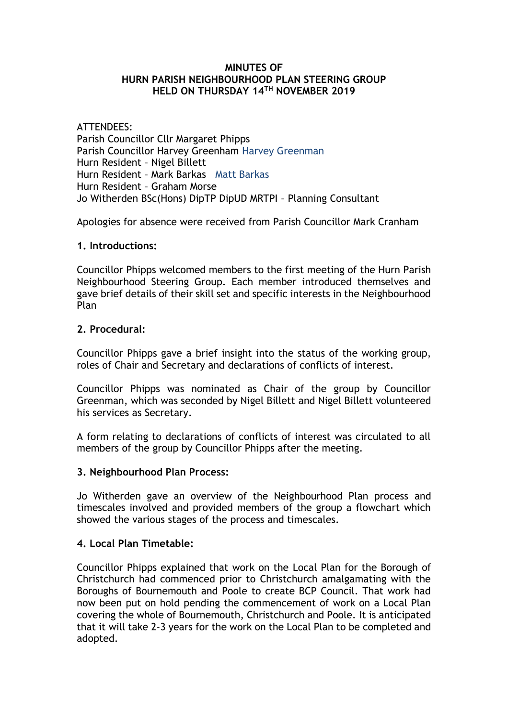#### **MINUTES OF HURN PARISH NEIGHBOURHOOD PLAN STEERING GROUP HELD ON THURSDAY 14TH NOVEMBER 2019**

## ATTENDEES:

Parish Councillor Cllr Margaret Phipps Parish Councillor Harvey Greenham Harvey Greenman Hurn Resident – Nigel Billett Hurn Resident – Mark Barkas Matt Barkas Hurn Resident – Graham Morse Jo Witherden BSc(Hons) DipTP DipUD MRTPI – Planning Consultant

Apologies for absence were received from Parish Councillor Mark Cranham

## **1. Introductions:**

Councillor Phipps welcomed members to the first meeting of the Hurn Parish Neighbourhood Steering Group. Each member introduced themselves and gave brief details of their skill set and specific interests in the Neighbourhood Plan

## **2. Procedural:**

Councillor Phipps gave a brief insight into the status of the working group, roles of Chair and Secretary and declarations of conflicts of interest.

Councillor Phipps was nominated as Chair of the group by Councillor Greenman, which was seconded by Nigel Billett and Nigel Billett volunteered his services as Secretary.

A form relating to declarations of conflicts of interest was circulated to all members of the group by Councillor Phipps after the meeting.

#### **3. Neighbourhood Plan Process:**

Jo Witherden gave an overview of the Neighbourhood Plan process and timescales involved and provided members of the group a flowchart which showed the various stages of the process and timescales.

### **4. Local Plan Timetable:**

Councillor Phipps explained that work on the Local Plan for the Borough of Christchurch had commenced prior to Christchurch amalgamating with the Boroughs of Bournemouth and Poole to create BCP Council. That work had now been put on hold pending the commencement of work on a Local Plan covering the whole of Bournemouth, Christchurch and Poole. It is anticipated that it will take 2-3 years for the work on the Local Plan to be completed and adopted.